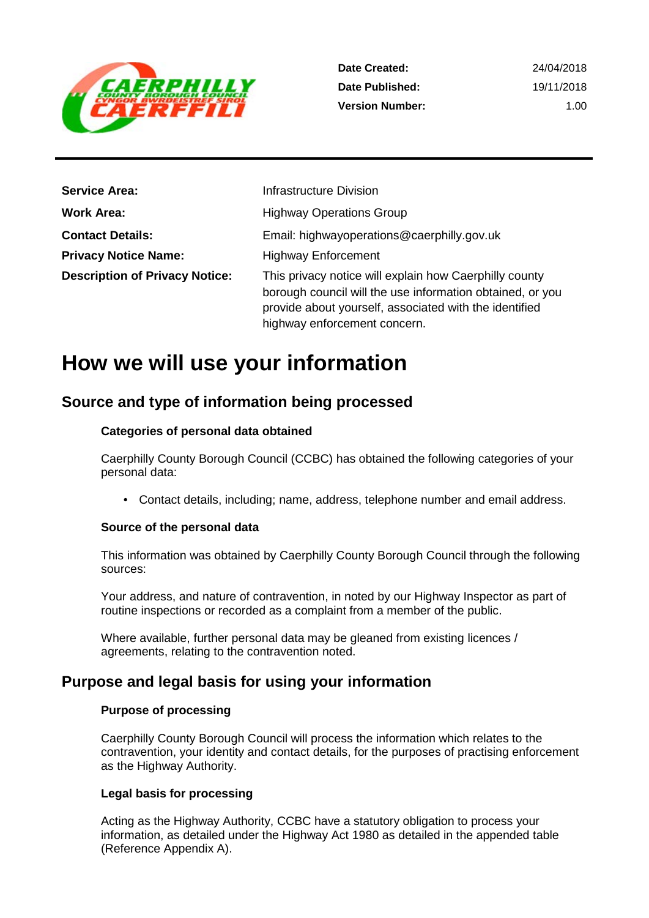

| <b>Service Area:</b>                  | <b>Infrastructure Division</b>                                                                                                                                                                                |
|---------------------------------------|---------------------------------------------------------------------------------------------------------------------------------------------------------------------------------------------------------------|
| <b>Work Area:</b>                     | <b>Highway Operations Group</b>                                                                                                                                                                               |
| <b>Contact Details:</b>               | Email: highwayoperations@caerphilly.gov.uk                                                                                                                                                                    |
| <b>Privacy Notice Name:</b>           | <b>Highway Enforcement</b>                                                                                                                                                                                    |
| <b>Description of Privacy Notice:</b> | This privacy notice will explain how Caerphilly county<br>borough council will the use information obtained, or you<br>provide about yourself, associated with the identified<br>highway enforcement concern. |

# **How we will use your information**

## **Source and type of information being processed**

#### **Categories of personal data obtained**

Caerphilly County Borough Council (CCBC) has obtained the following categories of your personal data:

• Contact details, including; name, address, telephone number and email address.

#### **Source of the personal data**

This information was obtained by Caerphilly County Borough Council through the following sources:

Your address, and nature of contravention, in noted by our Highway Inspector as part of routine inspections or recorded as a complaint from a member of the public.

Where available, further personal data may be gleaned from existing licences / agreements, relating to the contravention noted.

## **Purpose and legal basis for using your information**

#### **Purpose of processing**

Caerphilly County Borough Council will process the information which relates to the contravention, your identity and contact details, for the purposes of practising enforcement as the Highway Authority.

#### **Legal basis for processing**

Acting as the Highway Authority, CCBC have a statutory obligation to process your information, as detailed under the Highway Act 1980 as detailed in the appended table (Reference Appendix A).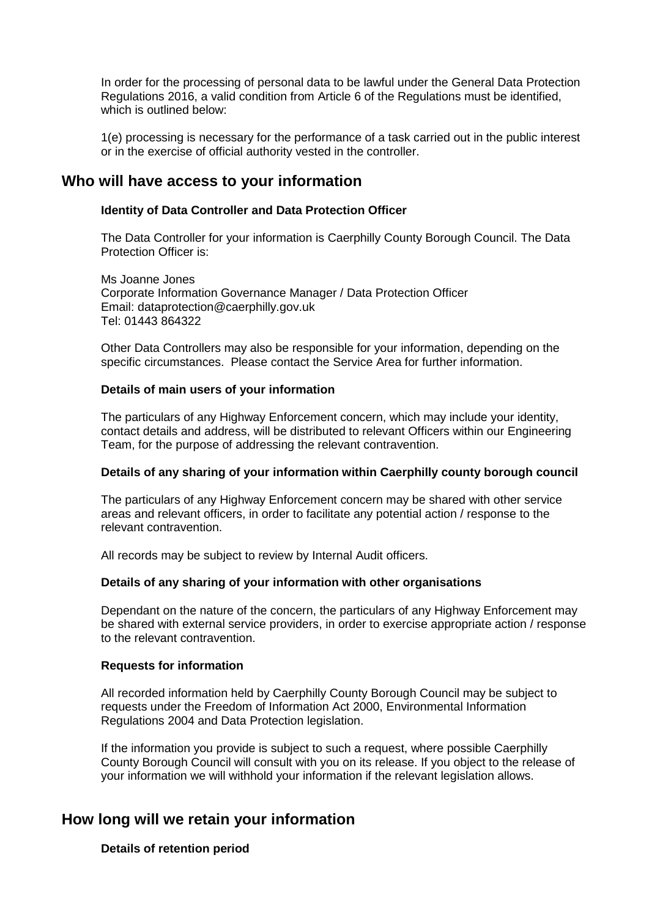In order for the processing of personal data to be lawful under the General Data Protection Regulations 2016, a valid condition from Article 6 of the Regulations must be identified, which is outlined below:

1(e) processing is necessary for the performance of a task carried out in the public interest or in the exercise of official authority vested in the controller.

#### **Who will have access to your information**

#### **Identity of Data Controller and Data Protection Officer**

The Data Controller for your information is Caerphilly County Borough Council. The Data Protection Officer is:

Ms Joanne Jones Corporate Information Governance Manager / Data Protection Officer Email: dataprotection@caerphilly.gov.uk Tel: 01443 864322

Other Data Controllers may also be responsible for your information, depending on the specific circumstances. Please contact the Service Area for further information.

#### **Details of main users of your information**

The particulars of any Highway Enforcement concern, which may include your identity, contact details and address, will be distributed to relevant Officers within our Engineering Team, for the purpose of addressing the relevant contravention.

#### **Details of any sharing of your information within Caerphilly county borough council**

The particulars of any Highway Enforcement concern may be shared with other service areas and relevant officers, in order to facilitate any potential action / response to the relevant contravention.

All records may be subject to review by Internal Audit officers.

#### **Details of any sharing of your information with other organisations**

Dependant on the nature of the concern, the particulars of any Highway Enforcement may be shared with external service providers, in order to exercise appropriate action / response to the relevant contravention.

#### **Requests for information**

All recorded information held by Caerphilly County Borough Council may be subject to requests under the Freedom of Information Act 2000, Environmental Information Regulations 2004 and Data Protection legislation.

If the information you provide is subject to such a request, where possible Caerphilly County Borough Council will consult with you on its release. If you object to the release of your information we will withhold your information if the relevant legislation allows.

#### **How long will we retain your information**

#### **Details of retention period**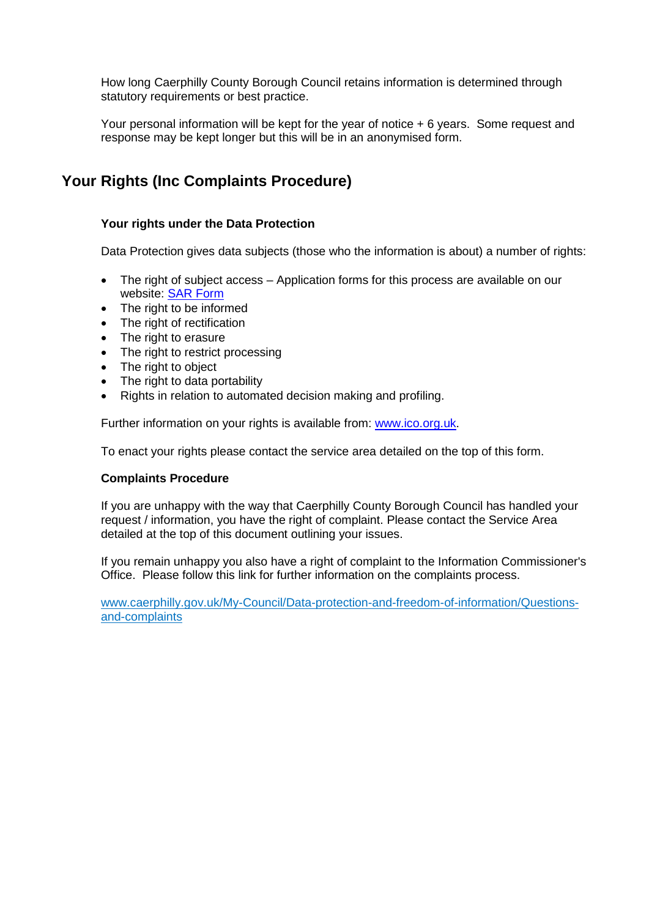How long Caerphilly County Borough Council retains information is determined through statutory requirements or best practice.

Your personal information will be kept for the year of notice + 6 years. Some request and response may be kept longer but this will be in an anonymised form.

## **Your Rights (Inc Complaints Procedure)**

#### **Your rights under the Data Protection**

Data Protection gives data subjects (those who the information is about) a number of rights:

- The right of subject access Application forms for this process are available on our website: [SAR Form](http://www.caerphilly.gov.uk/CaerphillyDocs/Council-and-democracy/sar_form.aspx)
- The right to be informed
- The right of rectification
- The right to erasure
- The right to restrict processing
- The right to object
- The right to data portability
- Rights in relation to automated decision making and profiling.

Further information on your rights is available from: [www.ico.org.uk.](http://www.ico.org.uk/)

To enact your rights please contact the service area detailed on the top of this form.

#### **Complaints Procedure**

If you are unhappy with the way that Caerphilly County Borough Council has handled your request / information, you have the right of complaint. Please contact the Service Area detailed at the top of this document outlining your issues.

If you remain unhappy you also have a right of complaint to the Information Commissioner's Office. Please follow this link for further information on the complaints process.

[www.caerphilly.gov.uk/My-Council/Data-protection-and-freedom-of-information/Questions](http://www.caerphilly.gov.uk/My-Council/Data-protection-and-freedom-of-information/Questions-and-complaints)[and-complaints](http://www.caerphilly.gov.uk/My-Council/Data-protection-and-freedom-of-information/Questions-and-complaints)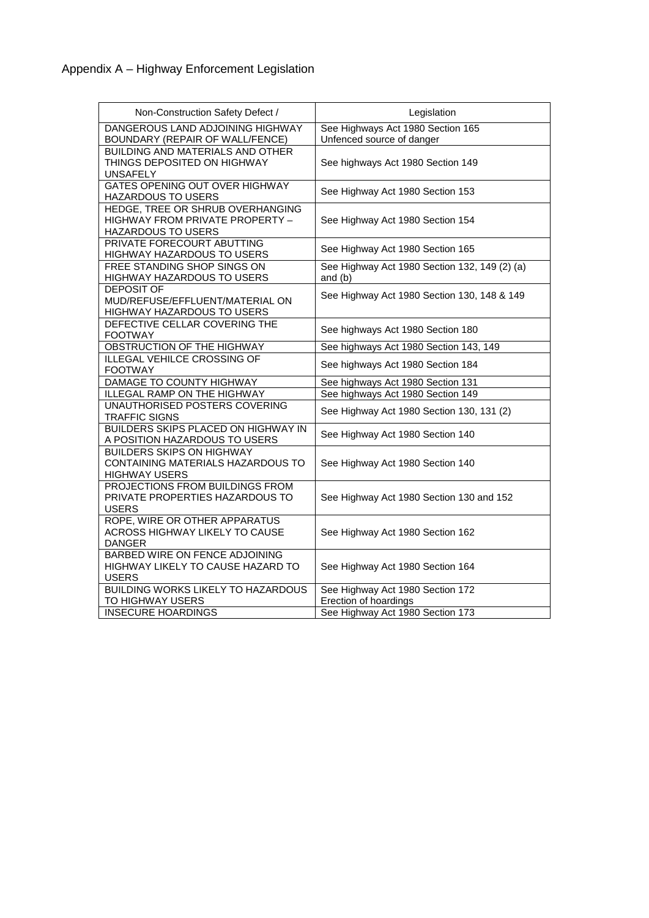| Non-Construction Safety Defect /                                  | Legislation                                   |
|-------------------------------------------------------------------|-----------------------------------------------|
| DANGEROUS LAND ADJOINING HIGHWAY                                  | See Highways Act 1980 Section 165             |
| BOUNDARY (REPAIR OF WALL/FENCE)                                   | Unfenced source of danger                     |
| BUILDING AND MATERIALS AND OTHER                                  |                                               |
| THINGS DEPOSITED ON HIGHWAY                                       | See highways Act 1980 Section 149             |
| <b>UNSAFELY</b>                                                   |                                               |
| GATES OPENING OUT OVER HIGHWAY                                    |                                               |
| <b>HAZARDOUS TO USERS</b>                                         | See Highway Act 1980 Section 153              |
| HEDGE, TREE OR SHRUB OVERHANGING                                  |                                               |
| HIGHWAY FROM PRIVATE PROPERTY -                                   | See Highway Act 1980 Section 154              |
| <b>HAZARDOUS TO USERS</b>                                         |                                               |
| PRIVATE FORECOURT ABUTTING                                        |                                               |
| HIGHWAY HAZARDOUS TO USERS                                        | See Highway Act 1980 Section 165              |
| FREE STANDING SHOP SINGS ON                                       | See Highway Act 1980 Section 132, 149 (2) (a) |
| HIGHWAY HAZARDOUS TO USERS                                        | and (b)                                       |
| <b>DEPOSIT OF</b>                                                 | See Highway Act 1980 Section 130, 148 & 149   |
| MUD/REFUSE/EFFLUENT/MATERIAL ON                                   |                                               |
| HIGHWAY HAZARDOUS TO USERS                                        |                                               |
| DEFECTIVE CELLAR COVERING THE                                     | See highways Act 1980 Section 180             |
| <b>FOOTWAY</b>                                                    |                                               |
| OBSTRUCTION OF THE HIGHWAY                                        | See highways Act 1980 Section 143, 149        |
| <b>ILLEGAL VEHILCE CROSSING OF</b>                                | See highways Act 1980 Section 184             |
| <b>FOOTWAY</b>                                                    |                                               |
| DAMAGE TO COUNTY HIGHWAY                                          | See highways Act 1980 Section 131             |
| ILLEGAL RAMP ON THE HIGHWAY                                       | See highways Act 1980 Section 149             |
| UNAUTHORISED POSTERS COVERING                                     | See Highway Act 1980 Section 130, 131 (2)     |
| <b>TRAFFIC SIGNS</b>                                              |                                               |
| BUILDERS SKIPS PLACED ON HIGHWAY IN                               | See Highway Act 1980 Section 140              |
| A POSITION HAZARDOUS TO USERS<br><b>BUILDERS SKIPS ON HIGHWAY</b> |                                               |
|                                                                   |                                               |
| CONTAINING MATERIALS HAZARDOUS TO                                 | See Highway Act 1980 Section 140              |
| <b>HIGHWAY USERS</b><br>PROJECTIONS FROM BUILDINGS FROM           |                                               |
| PRIVATE PROPERTIES HAZARDOUS TO                                   |                                               |
| <b>USERS</b>                                                      | See Highway Act 1980 Section 130 and 152      |
| ROPE, WIRE OR OTHER APPARATUS                                     |                                               |
| ACROSS HIGHWAY LIKELY TO CAUSE                                    | See Highway Act 1980 Section 162              |
| <b>DANGER</b>                                                     |                                               |
| <b>BARBED WIRE ON FENCE ADJOINING</b>                             |                                               |
| HIGHWAY LIKELY TO CAUSE HAZARD TO                                 | See Highway Act 1980 Section 164              |
| <b>USERS</b>                                                      |                                               |
| <b>BUILDING WORKS LIKELY TO HAZARDOUS</b>                         | See Highway Act 1980 Section 172              |
| TO HIGHWAY USERS                                                  | Erection of hoardings                         |
| <b>INSECURE HOARDINGS</b>                                         | See Highway Act 1980 Section 173              |
|                                                                   |                                               |